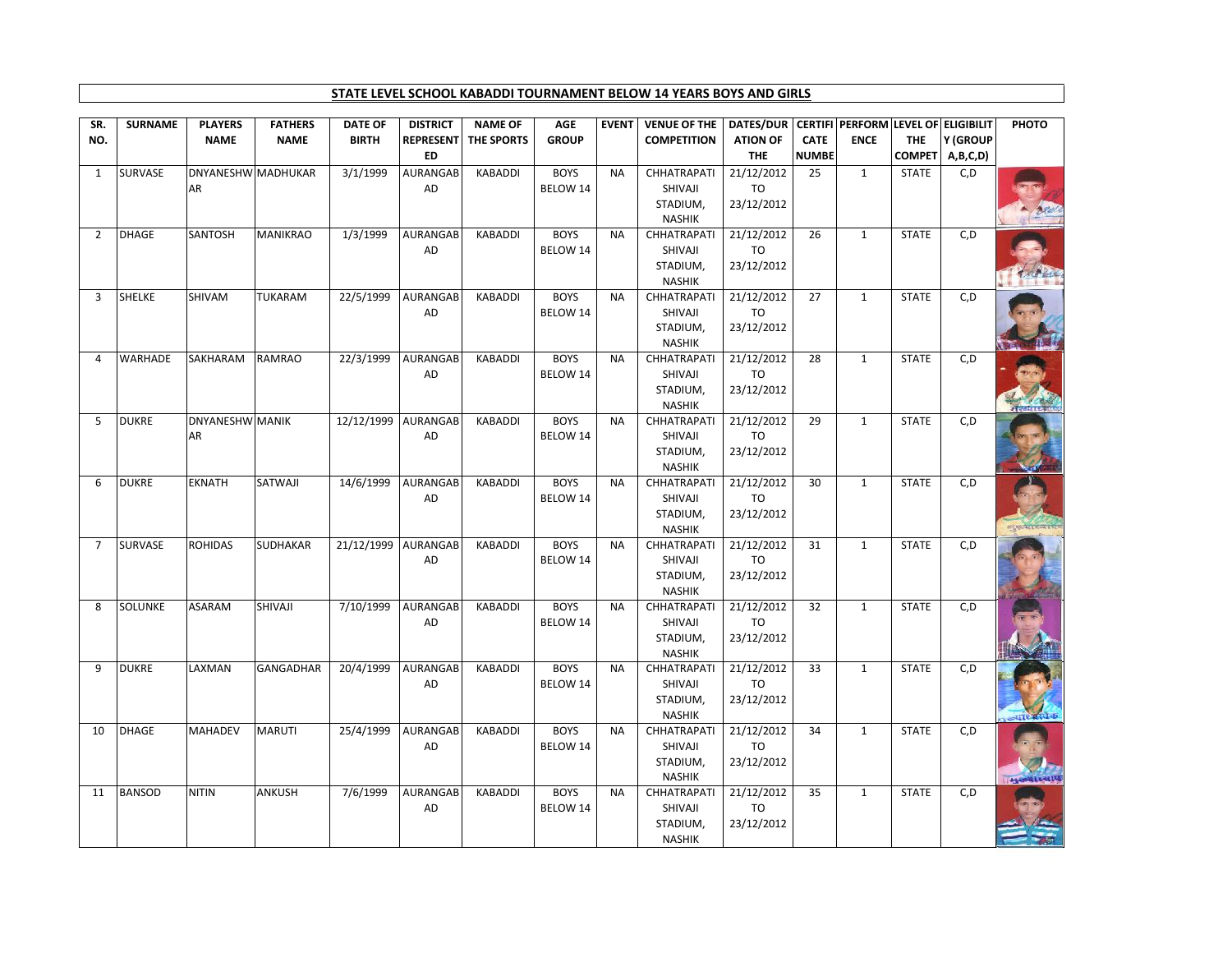## **STATE LEVEL SCHOOL KABADDI TOURNAMENT BELOW 14 YEARS BOYS AND GIRLS**

| <b>REPRESENT</b><br><b>THE</b><br>ED<br>DNYANESHW MADHUKAR<br>3/1/1999<br>SURVASE<br><b>AURANGAB</b><br><b>KABADDI</b><br><b>BOYS</b><br><b>CHHATRAPATI</b><br>21/12/2012<br>25<br>$\mathbf{1}$<br><b>NA</b><br>AR<br>AD<br>BELOW 14<br>SHIVAJI<br>TO<br>23/12/2012<br>STADIUM,<br><b>NASHIK</b><br>SANTOSH<br>1/3/1999<br>AURANGAB<br><b>BOYS</b><br>21/12/2012<br>$\overline{2}$<br>DHAGE<br><b>MANIKRAO</b><br><b>KABADDI</b><br><b>NA</b><br>CHHATRAPATI<br>26<br>AD<br>BELOW 14<br>SHIVAJI<br>TO<br>STADIUM,<br>23/12/2012<br><b>NASHIK</b><br><b>SHELKE</b><br>SHIVAM<br><b>TUKARAM</b><br>22/5/1999<br>AURANGAB<br><b>BOYS</b><br>21/12/2012<br>KABADDI<br><b>NA</b><br><b>CHHATRAPATI</b><br>27<br>3<br>BELOW 14<br>AD<br>SHIVAJI<br>TO<br>23/12/2012<br>STADIUM,<br><b>NASHIK</b><br><b>BOYS</b><br><b>WARHADE</b><br><b>RAMRAO</b><br>22/3/1999<br>AURANGAB<br>21/12/2012<br>SAKHARAM<br>KABADDI<br><b>NA</b><br><b>CHHATRAPATI</b><br>28<br>$\overline{4}$<br>AD<br>BELOW 14<br>SHIVAJI<br>TO<br>23/12/2012<br>STADIUM,<br><b>NASHIK</b><br><b>DUKRE</b><br><b>DNYANESHW MANIK</b><br>12/12/1999 AURANGAB<br><b>KABADDI</b><br><b>BOYS</b><br>21/12/2012<br>29<br>5<br><b>NA</b><br><b>CHHATRAPATI</b><br>TO<br>AR<br>AD<br>BELOW 14<br>SHIVAJI<br>23/12/2012<br>STADIUM,<br><b>NASHIK</b><br>SATWAJI<br>14/6/1999<br><b>BOYS</b><br>21/12/2012<br>6<br><b>DUKRE</b><br><b>EKNATH</b><br>AURANGAB<br><b>KABADDI</b><br><b>NA</b><br>CHHATRAPATI<br>30<br>AD<br>SHIVAJI<br>TO<br>BELOW 14<br>STADIUM,<br>23/12/2012<br><b>NASHIK</b><br><b>ROHIDAS</b><br><b>SURVASE</b><br>SUDHAKAR<br>21/12/1999 AURANGAB<br>KABADDI<br><b>BOYS</b><br>21/12/2012<br>$\overline{7}$<br><b>NA</b><br><b>CHHATRAPATI</b><br>31<br>AD<br>BELOW 14<br>SHIVAJI<br>TO<br>23/12/2012<br>STADIUM,<br><b>NASHIK</b><br><b>SOLUNKE</b><br><b>ASARAM</b><br>SHIVAJI<br>7/10/1999<br>AURANGAB<br><b>BOYS</b><br>21/12/2012<br>8<br><b>KABADDI</b><br><b>NA</b><br>CHHATRAPATI<br>32<br>AD<br>BELOW 14<br>SHIVAJI<br>TO<br>STADIUM,<br>23/12/2012<br><b>NASHIK</b><br>20/4/1999<br><b>AURANGAB</b><br>9<br><b>DUKRE</b><br>LAXMAN<br><b>GANGADHAR</b><br><b>KABADDI</b><br><b>BOYS</b><br><b>CHHATRAPATI</b><br>21/12/2012<br>33<br><b>NA</b> | $\mathbf{1}$<br>1 | <b>NUMBE</b> | <b>COMPET</b><br>A,B,C,D)      |  |
|------------------------------------------------------------------------------------------------------------------------------------------------------------------------------------------------------------------------------------------------------------------------------------------------------------------------------------------------------------------------------------------------------------------------------------------------------------------------------------------------------------------------------------------------------------------------------------------------------------------------------------------------------------------------------------------------------------------------------------------------------------------------------------------------------------------------------------------------------------------------------------------------------------------------------------------------------------------------------------------------------------------------------------------------------------------------------------------------------------------------------------------------------------------------------------------------------------------------------------------------------------------------------------------------------------------------------------------------------------------------------------------------------------------------------------------------------------------------------------------------------------------------------------------------------------------------------------------------------------------------------------------------------------------------------------------------------------------------------------------------------------------------------------------------------------------------------------------------------------------------------------------------------------------------------------------------------------------------------------------------------------------------------------------------------------------------------------------------------------------------------------------------------------------------------------------------------------------------------|-------------------|--------------|--------------------------------|--|
|                                                                                                                                                                                                                                                                                                                                                                                                                                                                                                                                                                                                                                                                                                                                                                                                                                                                                                                                                                                                                                                                                                                                                                                                                                                                                                                                                                                                                                                                                                                                                                                                                                                                                                                                                                                                                                                                                                                                                                                                                                                                                                                                                                                                                              |                   |              |                                |  |
|                                                                                                                                                                                                                                                                                                                                                                                                                                                                                                                                                                                                                                                                                                                                                                                                                                                                                                                                                                                                                                                                                                                                                                                                                                                                                                                                                                                                                                                                                                                                                                                                                                                                                                                                                                                                                                                                                                                                                                                                                                                                                                                                                                                                                              |                   |              | C, D<br><b>STATE</b>           |  |
|                                                                                                                                                                                                                                                                                                                                                                                                                                                                                                                                                                                                                                                                                                                                                                                                                                                                                                                                                                                                                                                                                                                                                                                                                                                                                                                                                                                                                                                                                                                                                                                                                                                                                                                                                                                                                                                                                                                                                                                                                                                                                                                                                                                                                              |                   |              |                                |  |
|                                                                                                                                                                                                                                                                                                                                                                                                                                                                                                                                                                                                                                                                                                                                                                                                                                                                                                                                                                                                                                                                                                                                                                                                                                                                                                                                                                                                                                                                                                                                                                                                                                                                                                                                                                                                                                                                                                                                                                                                                                                                                                                                                                                                                              |                   |              |                                |  |
|                                                                                                                                                                                                                                                                                                                                                                                                                                                                                                                                                                                                                                                                                                                                                                                                                                                                                                                                                                                                                                                                                                                                                                                                                                                                                                                                                                                                                                                                                                                                                                                                                                                                                                                                                                                                                                                                                                                                                                                                                                                                                                                                                                                                                              |                   |              | C, D<br><b>STATE</b>           |  |
|                                                                                                                                                                                                                                                                                                                                                                                                                                                                                                                                                                                                                                                                                                                                                                                                                                                                                                                                                                                                                                                                                                                                                                                                                                                                                                                                                                                                                                                                                                                                                                                                                                                                                                                                                                                                                                                                                                                                                                                                                                                                                                                                                                                                                              |                   |              |                                |  |
|                                                                                                                                                                                                                                                                                                                                                                                                                                                                                                                                                                                                                                                                                                                                                                                                                                                                                                                                                                                                                                                                                                                                                                                                                                                                                                                                                                                                                                                                                                                                                                                                                                                                                                                                                                                                                                                                                                                                                                                                                                                                                                                                                                                                                              |                   |              |                                |  |
|                                                                                                                                                                                                                                                                                                                                                                                                                                                                                                                                                                                                                                                                                                                                                                                                                                                                                                                                                                                                                                                                                                                                                                                                                                                                                                                                                                                                                                                                                                                                                                                                                                                                                                                                                                                                                                                                                                                                                                                                                                                                                                                                                                                                                              |                   |              |                                |  |
|                                                                                                                                                                                                                                                                                                                                                                                                                                                                                                                                                                                                                                                                                                                                                                                                                                                                                                                                                                                                                                                                                                                                                                                                                                                                                                                                                                                                                                                                                                                                                                                                                                                                                                                                                                                                                                                                                                                                                                                                                                                                                                                                                                                                                              | $\mathbf{1}$      |              | <b>STATE</b><br>C, D           |  |
|                                                                                                                                                                                                                                                                                                                                                                                                                                                                                                                                                                                                                                                                                                                                                                                                                                                                                                                                                                                                                                                                                                                                                                                                                                                                                                                                                                                                                                                                                                                                                                                                                                                                                                                                                                                                                                                                                                                                                                                                                                                                                                                                                                                                                              |                   |              |                                |  |
|                                                                                                                                                                                                                                                                                                                                                                                                                                                                                                                                                                                                                                                                                                                                                                                                                                                                                                                                                                                                                                                                                                                                                                                                                                                                                                                                                                                                                                                                                                                                                                                                                                                                                                                                                                                                                                                                                                                                                                                                                                                                                                                                                                                                                              |                   |              |                                |  |
|                                                                                                                                                                                                                                                                                                                                                                                                                                                                                                                                                                                                                                                                                                                                                                                                                                                                                                                                                                                                                                                                                                                                                                                                                                                                                                                                                                                                                                                                                                                                                                                                                                                                                                                                                                                                                                                                                                                                                                                                                                                                                                                                                                                                                              | $\mathbf{1}$      |              | <b>STATE</b><br>C, D           |  |
|                                                                                                                                                                                                                                                                                                                                                                                                                                                                                                                                                                                                                                                                                                                                                                                                                                                                                                                                                                                                                                                                                                                                                                                                                                                                                                                                                                                                                                                                                                                                                                                                                                                                                                                                                                                                                                                                                                                                                                                                                                                                                                                                                                                                                              |                   |              |                                |  |
|                                                                                                                                                                                                                                                                                                                                                                                                                                                                                                                                                                                                                                                                                                                                                                                                                                                                                                                                                                                                                                                                                                                                                                                                                                                                                                                                                                                                                                                                                                                                                                                                                                                                                                                                                                                                                                                                                                                                                                                                                                                                                                                                                                                                                              |                   |              |                                |  |
|                                                                                                                                                                                                                                                                                                                                                                                                                                                                                                                                                                                                                                                                                                                                                                                                                                                                                                                                                                                                                                                                                                                                                                                                                                                                                                                                                                                                                                                                                                                                                                                                                                                                                                                                                                                                                                                                                                                                                                                                                                                                                                                                                                                                                              | $\mathbf{1}$      |              | <b>STATE</b><br>C, D           |  |
|                                                                                                                                                                                                                                                                                                                                                                                                                                                                                                                                                                                                                                                                                                                                                                                                                                                                                                                                                                                                                                                                                                                                                                                                                                                                                                                                                                                                                                                                                                                                                                                                                                                                                                                                                                                                                                                                                                                                                                                                                                                                                                                                                                                                                              |                   |              |                                |  |
|                                                                                                                                                                                                                                                                                                                                                                                                                                                                                                                                                                                                                                                                                                                                                                                                                                                                                                                                                                                                                                                                                                                                                                                                                                                                                                                                                                                                                                                                                                                                                                                                                                                                                                                                                                                                                                                                                                                                                                                                                                                                                                                                                                                                                              |                   |              |                                |  |
|                                                                                                                                                                                                                                                                                                                                                                                                                                                                                                                                                                                                                                                                                                                                                                                                                                                                                                                                                                                                                                                                                                                                                                                                                                                                                                                                                                                                                                                                                                                                                                                                                                                                                                                                                                                                                                                                                                                                                                                                                                                                                                                                                                                                                              |                   |              |                                |  |
|                                                                                                                                                                                                                                                                                                                                                                                                                                                                                                                                                                                                                                                                                                                                                                                                                                                                                                                                                                                                                                                                                                                                                                                                                                                                                                                                                                                                                                                                                                                                                                                                                                                                                                                                                                                                                                                                                                                                                                                                                                                                                                                                                                                                                              | $\mathbf{1}$      |              | C, D<br><b>STATE</b>           |  |
|                                                                                                                                                                                                                                                                                                                                                                                                                                                                                                                                                                                                                                                                                                                                                                                                                                                                                                                                                                                                                                                                                                                                                                                                                                                                                                                                                                                                                                                                                                                                                                                                                                                                                                                                                                                                                                                                                                                                                                                                                                                                                                                                                                                                                              |                   |              |                                |  |
|                                                                                                                                                                                                                                                                                                                                                                                                                                                                                                                                                                                                                                                                                                                                                                                                                                                                                                                                                                                                                                                                                                                                                                                                                                                                                                                                                                                                                                                                                                                                                                                                                                                                                                                                                                                                                                                                                                                                                                                                                                                                                                                                                                                                                              |                   |              | स्य फ्रन्थ हिन्दी है।          |  |
|                                                                                                                                                                                                                                                                                                                                                                                                                                                                                                                                                                                                                                                                                                                                                                                                                                                                                                                                                                                                                                                                                                                                                                                                                                                                                                                                                                                                                                                                                                                                                                                                                                                                                                                                                                                                                                                                                                                                                                                                                                                                                                                                                                                                                              | $\mathbf{1}$      |              | <b>STATE</b><br>C, D           |  |
|                                                                                                                                                                                                                                                                                                                                                                                                                                                                                                                                                                                                                                                                                                                                                                                                                                                                                                                                                                                                                                                                                                                                                                                                                                                                                                                                                                                                                                                                                                                                                                                                                                                                                                                                                                                                                                                                                                                                                                                                                                                                                                                                                                                                                              |                   |              |                                |  |
|                                                                                                                                                                                                                                                                                                                                                                                                                                                                                                                                                                                                                                                                                                                                                                                                                                                                                                                                                                                                                                                                                                                                                                                                                                                                                                                                                                                                                                                                                                                                                                                                                                                                                                                                                                                                                                                                                                                                                                                                                                                                                                                                                                                                                              |                   |              |                                |  |
|                                                                                                                                                                                                                                                                                                                                                                                                                                                                                                                                                                                                                                                                                                                                                                                                                                                                                                                                                                                                                                                                                                                                                                                                                                                                                                                                                                                                                                                                                                                                                                                                                                                                                                                                                                                                                                                                                                                                                                                                                                                                                                                                                                                                                              |                   |              |                                |  |
|                                                                                                                                                                                                                                                                                                                                                                                                                                                                                                                                                                                                                                                                                                                                                                                                                                                                                                                                                                                                                                                                                                                                                                                                                                                                                                                                                                                                                                                                                                                                                                                                                                                                                                                                                                                                                                                                                                                                                                                                                                                                                                                                                                                                                              | $\mathbf{1}$      |              | <b>STATE</b><br>C, D           |  |
|                                                                                                                                                                                                                                                                                                                                                                                                                                                                                                                                                                                                                                                                                                                                                                                                                                                                                                                                                                                                                                                                                                                                                                                                                                                                                                                                                                                                                                                                                                                                                                                                                                                                                                                                                                                                                                                                                                                                                                                                                                                                                                                                                                                                                              |                   |              |                                |  |
|                                                                                                                                                                                                                                                                                                                                                                                                                                                                                                                                                                                                                                                                                                                                                                                                                                                                                                                                                                                                                                                                                                                                                                                                                                                                                                                                                                                                                                                                                                                                                                                                                                                                                                                                                                                                                                                                                                                                                                                                                                                                                                                                                                                                                              |                   |              |                                |  |
|                                                                                                                                                                                                                                                                                                                                                                                                                                                                                                                                                                                                                                                                                                                                                                                                                                                                                                                                                                                                                                                                                                                                                                                                                                                                                                                                                                                                                                                                                                                                                                                                                                                                                                                                                                                                                                                                                                                                                                                                                                                                                                                                                                                                                              | $\mathbf{1}$      |              | <b>STATE</b><br>C, D           |  |
| AD<br>BELOW 14<br>SHIVAJI<br>TO                                                                                                                                                                                                                                                                                                                                                                                                                                                                                                                                                                                                                                                                                                                                                                                                                                                                                                                                                                                                                                                                                                                                                                                                                                                                                                                                                                                                                                                                                                                                                                                                                                                                                                                                                                                                                                                                                                                                                                                                                                                                                                                                                                                              |                   |              |                                |  |
| STADIUM,<br>23/12/2012                                                                                                                                                                                                                                                                                                                                                                                                                                                                                                                                                                                                                                                                                                                                                                                                                                                                                                                                                                                                                                                                                                                                                                                                                                                                                                                                                                                                                                                                                                                                                                                                                                                                                                                                                                                                                                                                                                                                                                                                                                                                                                                                                                                                       |                   |              |                                |  |
| <b>NASHIK</b><br><b>DHAGE</b><br><b>MAHADEV</b><br>25/4/1999<br>AURANGAB<br><b>BOYS</b><br>21/12/2012<br>10<br><b>MARUTI</b><br><b>KABADDI</b><br><b>NA</b><br>CHHATRAPATI<br>34                                                                                                                                                                                                                                                                                                                                                                                                                                                                                                                                                                                                                                                                                                                                                                                                                                                                                                                                                                                                                                                                                                                                                                                                                                                                                                                                                                                                                                                                                                                                                                                                                                                                                                                                                                                                                                                                                                                                                                                                                                             | $\mathbf{1}$      |              | C, D<br><b>STATE</b>           |  |
| AD<br>SHIVAJI<br>TO<br>BELOW 14                                                                                                                                                                                                                                                                                                                                                                                                                                                                                                                                                                                                                                                                                                                                                                                                                                                                                                                                                                                                                                                                                                                                                                                                                                                                                                                                                                                                                                                                                                                                                                                                                                                                                                                                                                                                                                                                                                                                                                                                                                                                                                                                                                                              |                   |              |                                |  |
| STADIUM,<br>23/12/2012                                                                                                                                                                                                                                                                                                                                                                                                                                                                                                                                                                                                                                                                                                                                                                                                                                                                                                                                                                                                                                                                                                                                                                                                                                                                                                                                                                                                                                                                                                                                                                                                                                                                                                                                                                                                                                                                                                                                                                                                                                                                                                                                                                                                       |                   |              |                                |  |
| <b>NASHIK</b>                                                                                                                                                                                                                                                                                                                                                                                                                                                                                                                                                                                                                                                                                                                                                                                                                                                                                                                                                                                                                                                                                                                                                                                                                                                                                                                                                                                                                                                                                                                                                                                                                                                                                                                                                                                                                                                                                                                                                                                                                                                                                                                                                                                                                |                   |              | <b>Andrew Committee Review</b> |  |
| <b>NITIN</b><br>ANKUSH<br>7/6/1999<br>AURANGAB<br><b>BOYS</b><br>21/12/2012<br><b>BANSOD</b><br><b>KABADDI</b><br><b>NA</b><br><b>CHHATRAPATI</b><br>35<br>11                                                                                                                                                                                                                                                                                                                                                                                                                                                                                                                                                                                                                                                                                                                                                                                                                                                                                                                                                                                                                                                                                                                                                                                                                                                                                                                                                                                                                                                                                                                                                                                                                                                                                                                                                                                                                                                                                                                                                                                                                                                                | $\mathbf{1}$      |              | <b>STATE</b><br>C, D           |  |
| BELOW 14<br>SHIVAJI<br>TO<br>AD                                                                                                                                                                                                                                                                                                                                                                                                                                                                                                                                                                                                                                                                                                                                                                                                                                                                                                                                                                                                                                                                                                                                                                                                                                                                                                                                                                                                                                                                                                                                                                                                                                                                                                                                                                                                                                                                                                                                                                                                                                                                                                                                                                                              |                   |              |                                |  |
| 23/12/2012<br>STADIUM,<br><b>NASHIK</b>                                                                                                                                                                                                                                                                                                                                                                                                                                                                                                                                                                                                                                                                                                                                                                                                                                                                                                                                                                                                                                                                                                                                                                                                                                                                                                                                                                                                                                                                                                                                                                                                                                                                                                                                                                                                                                                                                                                                                                                                                                                                                                                                                                                      |                   |              |                                |  |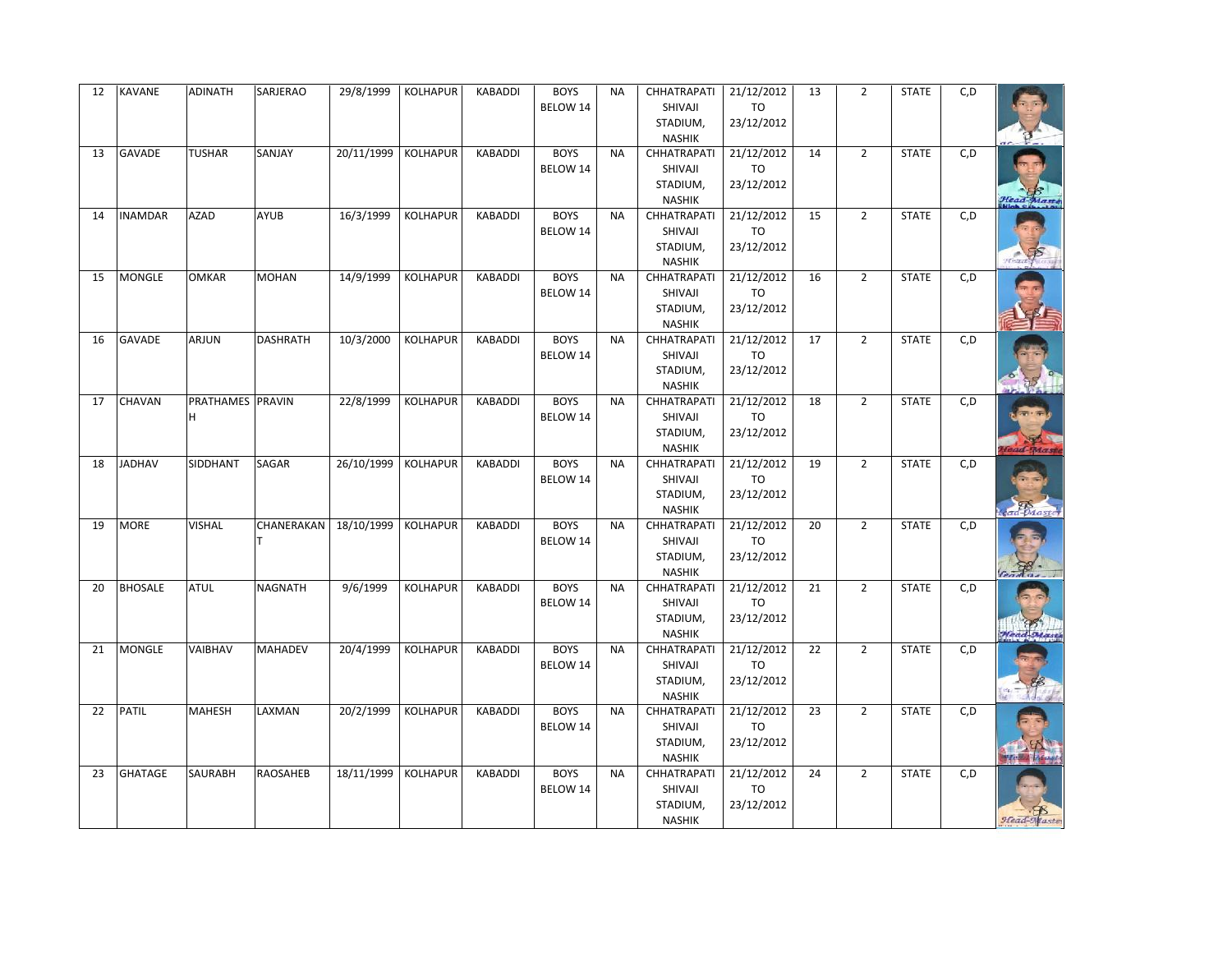| 12 | <b>KAVANE</b>  | <b>ADINATH</b>   | SARJERAO        | 29/8/1999  | <b>KOLHAPUR</b> | <b>KABADDI</b> | <b>BOYS</b><br>BELOW 14 | <b>NA</b> | CHHATRAPATI<br>SHIVAJI<br>STADIUM,<br><b>NASHIK</b>        | 21/12/2012<br><b>TO</b><br>23/12/2012 | 13 | $\overline{2}$ | <b>STATE</b> | C, D |            |
|----|----------------|------------------|-----------------|------------|-----------------|----------------|-------------------------|-----------|------------------------------------------------------------|---------------------------------------|----|----------------|--------------|------|------------|
| 13 | <b>GAVADE</b>  | <b>TUSHAR</b>    | SANJAY          | 20/11/1999 | <b>KOLHAPUR</b> | <b>KABADDI</b> | <b>BOYS</b><br>BELOW 14 | <b>NA</b> | <b>CHHATRAPATI</b><br>SHIVAJI<br>STADIUM,<br><b>NASHIK</b> | 21/12/2012<br>TO<br>23/12/2012        | 14 | $\overline{2}$ | <b>STATE</b> | C, D | lead-Masti |
| 14 | <b>INAMDAR</b> | <b>AZAD</b>      | <b>AYUB</b>     | 16/3/1999  | <b>KOLHAPUR</b> | <b>KABADDI</b> | <b>BOYS</b><br>BELOW 14 | <b>NA</b> | CHHATRAPATI<br>SHIVAJI<br>STADIUM,<br><b>NASHIK</b>        | 21/12/2012<br>TO<br>23/12/2012        | 15 | $\overline{2}$ | <b>STATE</b> | C, D |            |
| 15 | <b>MONGLE</b>  | <b>OMKAR</b>     | <b>MOHAN</b>    | 14/9/1999  | <b>KOLHAPUR</b> | <b>KABADDI</b> | <b>BOYS</b><br>BELOW 14 | <b>NA</b> | <b>CHHATRAPATI</b><br>SHIVAJI<br>STADIUM,<br><b>NASHIK</b> | 21/12/2012<br>TO<br>23/12/2012        | 16 | $\overline{2}$ | <b>STATE</b> | C, D |            |
| 16 | <b>GAVADE</b>  | ARJUN            | <b>DASHRATH</b> | 10/3/2000  | <b>KOLHAPUR</b> | <b>KABADDI</b> | <b>BOYS</b><br>BELOW 14 | <b>NA</b> | CHHATRAPATI<br>SHIVAJI<br>STADIUM,<br><b>NASHIK</b>        | 21/12/2012<br>TO<br>23/12/2012        | 17 | $\overline{2}$ | <b>STATE</b> | C, D |            |
| 17 | CHAVAN         | PRATHAMES PRAVIN |                 | 22/8/1999  | <b>KOLHAPUR</b> | KABADDI        | <b>BOYS</b><br>BELOW 14 | <b>NA</b> | <b>CHHATRAPATI</b><br>SHIVAJI<br>STADIUM,<br><b>NASHIK</b> | 21/12/2012<br>TO<br>23/12/2012        | 18 | $\overline{2}$ | <b>STATE</b> | C, D |            |
| 18 | <b>JADHAV</b>  | SIDDHANT         | SAGAR           | 26/10/1999 | <b>KOLHAPUR</b> | <b>KABADDI</b> | <b>BOYS</b><br>BELOW 14 | <b>NA</b> | CHHATRAPATI<br>SHIVAJI<br>STADIUM,<br><b>NASHIK</b>        | 21/12/2012<br>TO<br>23/12/2012        | 19 | $\overline{2}$ | <b>STATE</b> | C, D | Maste      |
| 19 | <b>MORE</b>    | <b>VISHAL</b>    | CHANERAKAN      | 18/10/1999 | <b>KOLHAPUR</b> | <b>KABADDI</b> | <b>BOYS</b><br>BELOW 14 | <b>NA</b> | CHHATRAPATI<br>SHIVAJI<br>STADIUM,<br><b>NASHIK</b>        | 21/12/2012<br>TO<br>23/12/2012        | 20 | $\overline{2}$ | <b>STATE</b> | C, D |            |
| 20 | <b>BHOSALE</b> | <b>ATUL</b>      | <b>NAGNATH</b>  | 9/6/1999   | <b>KOLHAPUR</b> | <b>KABADDI</b> | <b>BOYS</b><br>BELOW 14 | <b>NA</b> | CHHATRAPATI<br>SHIVAJI<br>STADIUM,<br><b>NASHIK</b>        | 21/12/2012<br><b>TO</b><br>23/12/2012 | 21 | $\overline{2}$ | <b>STATE</b> | C, D | Head-Maste |
| 21 | <b>MONGLE</b>  | VAIBHAV          | <b>MAHADEV</b>  | 20/4/1999  | <b>KOLHAPUR</b> | KABADDI        | <b>BOYS</b><br>BELOW 14 | <b>NA</b> | CHHATRAPATI<br>SHIVAJI<br>STADIUM,<br><b>NASHIK</b>        | 21/12/2012<br><b>TO</b><br>23/12/2012 | 22 | $\overline{2}$ | <b>STATE</b> | C, D |            |
| 22 | <b>PATIL</b>   | <b>MAHESH</b>    | LAXMAN          | 20/2/1999  | <b>KOLHAPUR</b> | <b>KABADDI</b> | <b>BOYS</b><br>BELOW 14 | <b>NA</b> | CHHATRAPATI<br>SHIVAJI<br>STADIUM,<br><b>NASHIK</b>        | 21/12/2012<br><b>TO</b><br>23/12/2012 | 23 | $\overline{2}$ | <b>STATE</b> | C, D |            |
| 23 | <b>GHATAGE</b> | SAURABH          | <b>RAOSAHEB</b> | 18/11/1999 | <b>KOLHAPUR</b> | <b>KABADDI</b> | <b>BOYS</b><br>BELOW 14 | <b>NA</b> | CHHATRAPATI<br>SHIVAJI<br>STADIUM,<br><b>NASHIK</b>        | 21/12/2012<br><b>TO</b><br>23/12/2012 | 24 | $\overline{2}$ | <b>STATE</b> | C, D |            |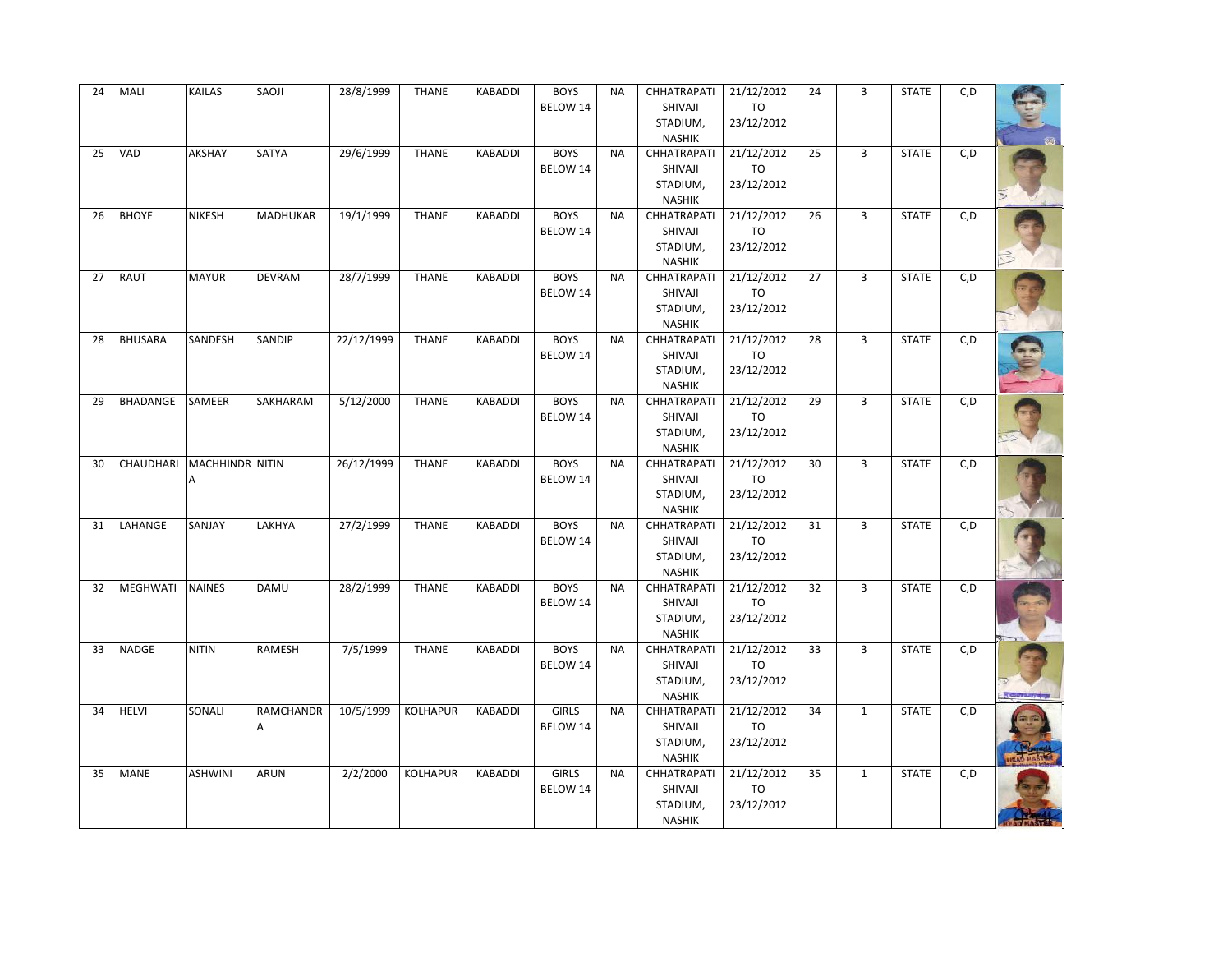| 24 | MALI            | <b>KAILAS</b>             | SAOJI            | 28/8/1999  | <b>THANE</b>    | KABADDI        | <b>BOYS</b><br>BELOW 14 | <b>NA</b> | CHHATRAPATI<br>SHIVAJI              | 21/12/2012<br><b>TO</b> | 24 | 3              | <b>STATE</b> | C, D |  |
|----|-----------------|---------------------------|------------------|------------|-----------------|----------------|-------------------------|-----------|-------------------------------------|-------------------------|----|----------------|--------------|------|--|
|    |                 |                           |                  |            |                 |                |                         |           | STADIUM,<br><b>NASHIK</b>           | 23/12/2012              |    |                |              |      |  |
| 25 | VAD             | AKSHAY                    | SATYA            | 29/6/1999  | <b>THANE</b>    | <b>KABADDI</b> | <b>BOYS</b>             | <b>NA</b> | CHHATRAPATI                         | 21/12/2012              | 25 | 3              | <b>STATE</b> | C, D |  |
|    |                 |                           |                  |            |                 |                | BELOW 14                |           | SHIVAJI                             | TO                      |    |                |              |      |  |
|    |                 |                           |                  |            |                 |                |                         |           | STADIUM,<br><b>NASHIK</b>           | 23/12/2012              |    |                |              |      |  |
| 26 | <b>BHOYE</b>    | <b>NIKESH</b>             | MADHUKAR         | 19/1/1999  | <b>THANE</b>    | KABADDI        | <b>BOYS</b>             | <b>NA</b> | CHHATRAPATI                         | 21/12/2012              | 26 | 3              | <b>STATE</b> | C, D |  |
|    |                 |                           |                  |            |                 |                | BELOW 14                |           | SHIVAJI                             | TO                      |    |                |              |      |  |
|    |                 |                           |                  |            |                 |                |                         |           | STADIUM,                            | 23/12/2012              |    |                |              |      |  |
| 27 | <b>RAUT</b>     | <b>MAYUR</b>              | <b>DEVRAM</b>    | 28/7/1999  | <b>THANE</b>    | <b>KABADDI</b> | <b>BOYS</b>             | <b>NA</b> | <b>NASHIK</b><br>CHHATRAPATI        | 21/12/2012              | 27 | $\overline{3}$ | <b>STATE</b> | C, D |  |
|    |                 |                           |                  |            |                 |                | BELOW 14                |           | SHIVAJI                             | TO                      |    |                |              |      |  |
|    |                 |                           |                  |            |                 |                |                         |           | STADIUM,                            | 23/12/2012              |    |                |              |      |  |
|    |                 |                           |                  |            |                 |                |                         |           | <b>NASHIK</b>                       |                         |    |                |              |      |  |
| 28 | <b>BHUSARA</b>  | SANDESH                   | SANDIP           | 22/12/1999 | <b>THANE</b>    | <b>KABADDI</b> | <b>BOYS</b>             | <b>NA</b> | CHHATRAPATI                         | 21/12/2012              | 28 | 3              | <b>STATE</b> | C, D |  |
|    |                 |                           |                  |            |                 |                | BELOW 14                |           | SHIVAJI<br>STADIUM,                 | TO<br>23/12/2012        |    |                |              |      |  |
|    |                 |                           |                  |            |                 |                |                         |           | <b>NASHIK</b>                       |                         |    |                |              |      |  |
| 29 | <b>BHADANGE</b> | SAMEER                    | SAKHARAM         | 5/12/2000  | <b>THANE</b>    | <b>KABADDI</b> | <b>BOYS</b>             | <b>NA</b> | CHHATRAPATI                         | 21/12/2012              | 29 | 3              | <b>STATE</b> | C, D |  |
|    |                 |                           |                  |            |                 |                | BELOW 14                |           | SHIVAJI                             | TO                      |    |                |              |      |  |
|    |                 |                           |                  |            |                 |                |                         |           | STADIUM,<br><b>NASHIK</b>           | 23/12/2012              |    |                |              |      |  |
| 30 |                 | CHAUDHARI MACHHINDR NITIN |                  | 26/12/1999 | <b>THANE</b>    | <b>KABADDI</b> | <b>BOYS</b>             | <b>NA</b> | CHHATRAPATI                         | 21/12/2012              | 30 | 3              | <b>STATE</b> | C, D |  |
|    |                 |                           |                  |            |                 |                | BELOW 14                |           | SHIVAJI                             | TO                      |    |                |              |      |  |
|    |                 |                           |                  |            |                 |                |                         |           | STADIUM,                            | 23/12/2012              |    |                |              |      |  |
| 31 | LAHANGE         | SANJAY                    | LAKHYA           | 27/2/1999  | <b>THANE</b>    | <b>KABADDI</b> | <b>BOYS</b>             | <b>NA</b> | <b>NASHIK</b><br>CHHATRAPATI        | 21/12/2012              | 31 | 3              | <b>STATE</b> |      |  |
|    |                 |                           |                  |            |                 |                | BELOW 14                |           | SHIVAJI                             | <b>TO</b>               |    |                |              | C,D  |  |
|    |                 |                           |                  |            |                 |                |                         |           | STADIUM,                            | 23/12/2012              |    |                |              |      |  |
|    |                 |                           |                  |            |                 |                |                         |           | <b>NASHIK</b>                       |                         |    |                |              |      |  |
| 32 | MEGHWATI        | <b>NAINES</b>             | <b>DAMU</b>      | 28/2/1999  | <b>THANE</b>    | <b>KABADDI</b> | <b>BOYS</b>             | <b>NA</b> | CHHATRAPATI                         | 21/12/2012              | 32 | 3              | <b>STATE</b> | C, D |  |
|    |                 |                           |                  |            |                 |                | BELOW 14                |           | SHIVAJI<br>STADIUM,                 | TO<br>23/12/2012        |    |                |              |      |  |
|    |                 |                           |                  |            |                 |                |                         |           | <b>NASHIK</b>                       |                         |    |                |              |      |  |
| 33 | <b>NADGE</b>    | <b>NITIN</b>              | RAMESH           | 7/5/1999   | <b>THANE</b>    | <b>KABADDI</b> | <b>BOYS</b>             | NA        | CHHATRAPATI                         | 21/12/2012              | 33 | 3              | <b>STATE</b> | C, D |  |
|    |                 |                           |                  |            |                 |                | BELOW 14                |           | SHIVAJI                             | <b>TO</b>               |    |                |              |      |  |
|    |                 |                           |                  |            |                 |                |                         |           | STADIUM,<br><b>NASHIK</b>           | 23/12/2012              |    |                |              |      |  |
| 34 | <b>HELVI</b>    | SONALI                    | <b>RAMCHANDR</b> | 10/5/1999  | <b>KOLHAPUR</b> | <b>KABADDI</b> | <b>GIRLS</b>            | <b>NA</b> | <b>CHHATRAPATI</b>                  | 21/12/2012              | 34 | $\mathbf{1}$   | <b>STATE</b> | C, D |  |
|    |                 |                           | Α                |            |                 |                | BELOW 14                |           | SHIVAJI                             | <b>TO</b>               |    |                |              |      |  |
|    |                 |                           |                  |            |                 |                |                         |           | STADIUM,                            | 23/12/2012              |    |                |              |      |  |
| 35 | <b>MANE</b>     | <b>ASHWINI</b>            | <b>ARUN</b>      | 2/2/2000   | <b>KOLHAPUR</b> | <b>KABADDI</b> | <b>GIRLS</b>            | <b>NA</b> | <b>NASHIK</b><br><b>CHHATRAPATI</b> | 21/12/2012              | 35 | 1              | <b>STATE</b> | C, D |  |
|    |                 |                           |                  |            |                 |                | BELOW 14                |           | SHIVAJI                             | <b>TO</b>               |    |                |              |      |  |
|    |                 |                           |                  |            |                 |                |                         |           | STADIUM,                            | 23/12/2012              |    |                |              |      |  |
|    |                 |                           |                  |            |                 |                |                         |           | <b>NASHIK</b>                       |                         |    |                |              |      |  |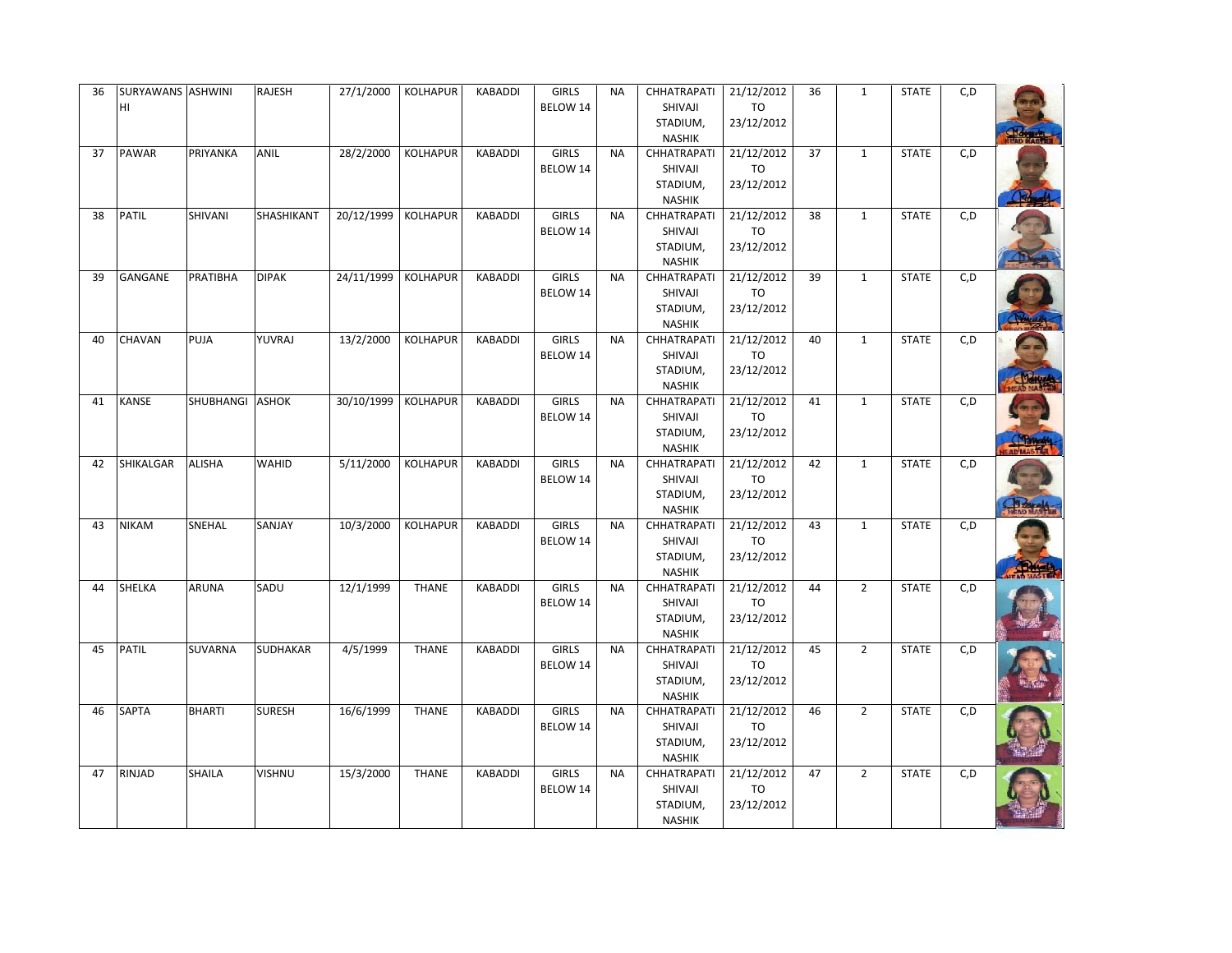| 36 | SURYAWANS ASHWINI<br>Iнг |                 | RAJESH          | 27/1/2000             | <b>KOLHAPUR</b> | <b>KABADDI</b> | <b>GIRLS</b><br>BELOW 14 | <b>NA</b> | <b>CHHATRAPATI</b><br>SHIVAJI<br>STADIUM,<br><b>NASHIK</b> | 21/12/2012<br>TO<br>23/12/2012        | 36 | $\mathbf{1}$   | <b>STATE</b> | C, D |  |
|----|--------------------------|-----------------|-----------------|-----------------------|-----------------|----------------|--------------------------|-----------|------------------------------------------------------------|---------------------------------------|----|----------------|--------------|------|--|
| 37 | <b>PAWAR</b>             | PRIYANKA        | <b>ANIL</b>     | 28/2/2000             | KOLHAPUR        | <b>KABADDI</b> | <b>GIRLS</b><br>BELOW 14 | <b>NA</b> | CHHATRAPATI<br>SHIVAJI<br>STADIUM,<br><b>NASHIK</b>        | 21/12/2012<br><b>TO</b><br>23/12/2012 | 37 | 1              | <b>STATE</b> | C, D |  |
| 38 | <b>PATIL</b>             | SHIVANI         | SHASHIKANT      | 20/12/1999 KOLHAPUR   |                 | <b>KABADDI</b> | <b>GIRLS</b><br>BELOW 14 | <b>NA</b> | CHHATRAPATI<br>SHIVAJI<br>STADIUM,<br><b>NASHIK</b>        | 21/12/2012<br>TO<br>23/12/2012        | 38 | $\mathbf{1}$   | <b>STATE</b> | C, D |  |
| 39 | GANGANE                  | <b>PRATIBHA</b> | <b>DIPAK</b>    | 24/11/1999 KOLHAPUR   |                 | KABADDI        | <b>GIRLS</b><br>BELOW 14 | <b>NA</b> | CHHATRAPATI<br>SHIVAJI<br>STADIUM,<br><b>NASHIK</b>        | 21/12/2012<br>TO<br>23/12/2012        | 39 | $\mathbf{1}$   | <b>STATE</b> | C, D |  |
| 40 | <b>CHAVAN</b>            | PUJA            | YUVRAJ          | 13/2/2000             | <b>KOLHAPUR</b> | <b>KABADDI</b> | <b>GIRLS</b><br>BELOW 14 | <b>NA</b> | <b>CHHATRAPATI</b><br>SHIVAJI<br>STADIUM,<br><b>NASHIK</b> | 21/12/2012<br>TO<br>23/12/2012        | 40 | $\mathbf{1}$   | <b>STATE</b> | C, D |  |
| 41 | <b>KANSE</b>             | SHUBHANGI ASHOK |                 | 30/10/1999   KOLHAPUR |                 | <b>KABADDI</b> | <b>GIRLS</b><br>BELOW 14 | <b>NA</b> | <b>CHHATRAPATI</b><br>SHIVAJI<br>STADIUM,<br><b>NASHIK</b> | 21/12/2012<br>TO<br>23/12/2012        | 41 | 1              | <b>STATE</b> | C, D |  |
| 42 | SHIKALGAR                | <b>ALISHA</b>   | <b>WAHID</b>    | 5/11/2000             | KOLHAPUR        | <b>KABADDI</b> | <b>GIRLS</b><br>BELOW 14 | <b>NA</b> | <b>CHHATRAPATI</b><br>SHIVAJI<br>STADIUM,<br><b>NASHIK</b> | 21/12/2012<br>TO<br>23/12/2012        | 42 | $\mathbf{1}$   | <b>STATE</b> | C, D |  |
| 43 | <b>NIKAM</b>             | SNEHAL          | SANJAY          | 10/3/2000             | <b>KOLHAPUR</b> | <b>KABADDI</b> | <b>GIRLS</b><br>BELOW 14 | <b>NA</b> | <b>CHHATRAPATI</b><br>SHIVAJI<br>STADIUM,<br><b>NASHIK</b> | 21/12/2012<br>TO<br>23/12/2012        | 43 | $\mathbf{1}$   | <b>STATE</b> | C, D |  |
| 44 | <b>SHELKA</b>            | <b>ARUNA</b>    | SADU            | 12/1/1999             | <b>THANE</b>    | <b>KABADDI</b> | <b>GIRLS</b><br>BELOW 14 | <b>NA</b> | CHHATRAPATI<br>SHIVAJI<br>STADIUM,<br><b>NASHIK</b>        | 21/12/2012<br>TO<br>23/12/2012        | 44 | $\overline{2}$ | <b>STATE</b> | C, D |  |
| 45 | <b>PATIL</b>             | <b>SUVARNA</b>  | <b>SUDHAKAR</b> | 4/5/1999              | <b>THANE</b>    | <b>KABADDI</b> | <b>GIRLS</b><br>BELOW 14 | <b>NA</b> | CHHATRAPATI<br>SHIVAJI<br>STADIUM,<br><b>NASHIK</b>        | 21/12/2012<br>TO<br>23/12/2012        | 45 | $\overline{2}$ | <b>STATE</b> | C, D |  |
| 46 | <b>SAPTA</b>             | <b>BHARTI</b>   | <b>SURESH</b>   | 16/6/1999             | <b>THANE</b>    | <b>KABADDI</b> | <b>GIRLS</b><br>BELOW 14 | <b>NA</b> | CHHATRAPATI<br>SHIVAJI<br>STADIUM,<br><b>NASHIK</b>        | 21/12/2012<br>TO<br>23/12/2012        | 46 | $\overline{2}$ | <b>STATE</b> | C, D |  |
| 47 | <b>RINJAD</b>            | <b>SHAILA</b>   | <b>VISHNU</b>   | 15/3/2000             | <b>THANE</b>    | <b>KABADDI</b> | <b>GIRLS</b><br>BELOW 14 | <b>NA</b> | <b>CHHATRAPATI</b><br>SHIVAJI<br>STADIUM,<br><b>NASHIK</b> | 21/12/2012<br>TO<br>23/12/2012        | 47 | $\overline{2}$ | <b>STATE</b> | C, D |  |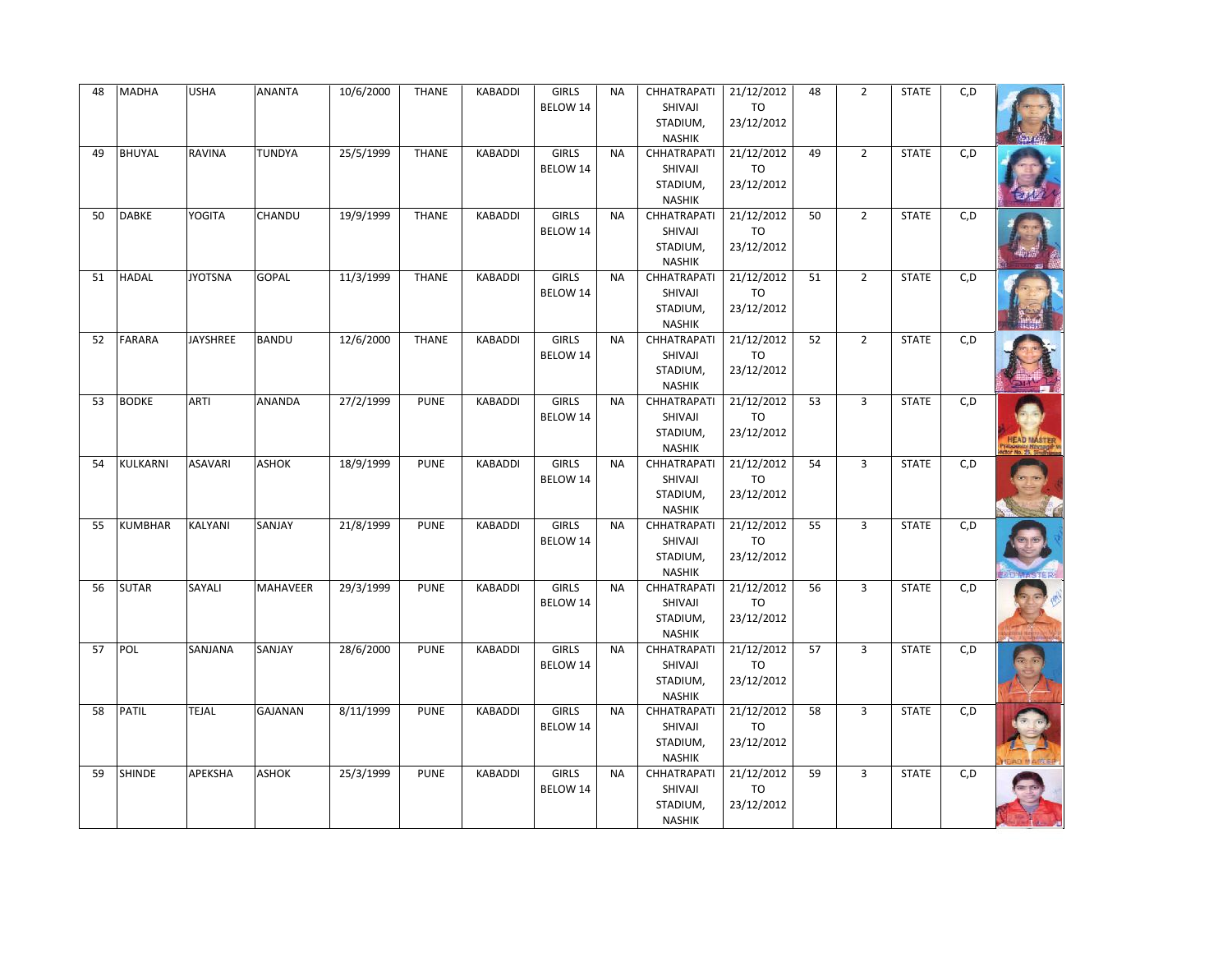| 48 | <b>MADHA</b>   | <b>USHA</b>     | <b>ANANTA</b>   | 10/6/2000 | <b>THANE</b> | KABADDI        | <b>GIRLS</b> | <b>NA</b> | CHHATRAPATI               | 21/12/2012       | 48 | $\overline{2}$ | <b>STATE</b> | C, D |  |
|----|----------------|-----------------|-----------------|-----------|--------------|----------------|--------------|-----------|---------------------------|------------------|----|----------------|--------------|------|--|
|    |                |                 |                 |           |              |                | BELOW 14     |           | SHIVAJI<br>STADIUM,       | TO<br>23/12/2012 |    |                |              |      |  |
|    |                |                 |                 |           |              |                |              |           | <b>NASHIK</b>             |                  |    |                |              |      |  |
| 49 | <b>BHUYAL</b>  | <b>RAVINA</b>   | TUNDYA          | 25/5/1999 | <b>THANE</b> | <b>KABADDI</b> | <b>GIRLS</b> | <b>NA</b> | CHHATRAPATI               | 21/12/2012       | 49 | $\overline{2}$ | <b>STATE</b> | C, D |  |
|    |                |                 |                 |           |              |                | BELOW 14     |           | SHIVAJI                   | TO               |    |                |              |      |  |
|    |                |                 |                 |           |              |                |              |           | STADIUM,                  | 23/12/2012       |    |                |              |      |  |
|    |                |                 |                 |           |              |                |              |           | <b>NASHIK</b>             |                  |    |                |              |      |  |
| 50 | <b>DABKE</b>   | YOGITA          | CHANDU          | 19/9/1999 | <b>THANE</b> | <b>KABADDI</b> | <b>GIRLS</b> | <b>NA</b> | CHHATRAPATI               | 21/12/2012       | 50 | $\overline{2}$ | <b>STATE</b> | C,D  |  |
|    |                |                 |                 |           |              |                | BELOW 14     |           | SHIVAJI                   | <b>TO</b>        |    |                |              |      |  |
|    |                |                 |                 |           |              |                |              |           | STADIUM,                  | 23/12/2012       |    |                |              |      |  |
|    |                |                 |                 |           |              |                |              |           | <b>NASHIK</b>             |                  |    |                |              |      |  |
| 51 | <b>HADAL</b>   | <b>JYOTSNA</b>  | <b>GOPAL</b>    | 11/3/1999 | <b>THANE</b> | <b>KABADDI</b> | <b>GIRLS</b> | <b>NA</b> | <b>CHHATRAPATI</b>        | 21/12/2012       | 51 | $\overline{2}$ | <b>STATE</b> | C, D |  |
|    |                |                 |                 |           |              |                | BELOW 14     |           | SHIVAJI                   | TO               |    |                |              |      |  |
|    |                |                 |                 |           |              |                |              |           | STADIUM,                  | 23/12/2012       |    |                |              |      |  |
|    |                |                 |                 |           |              |                |              |           | <b>NASHIK</b>             |                  |    |                |              |      |  |
| 52 | <b>FARARA</b>  | <b>JAYSHREE</b> | <b>BANDU</b>    | 12/6/2000 | <b>THANE</b> | <b>KABADDI</b> | <b>GIRLS</b> | <b>NA</b> | CHHATRAPATI               | 21/12/2012       | 52 | $\overline{2}$ | <b>STATE</b> | C, D |  |
|    |                |                 |                 |           |              |                | BELOW 14     |           | SHIVAJI                   | <b>TO</b>        |    |                |              |      |  |
|    |                |                 |                 |           |              |                |              |           | STADIUM,                  | 23/12/2012       |    |                |              |      |  |
|    |                |                 |                 |           |              |                |              |           | <b>NASHIK</b>             |                  |    |                |              |      |  |
| 53 | <b>BODKE</b>   | ARTI            | <b>ANANDA</b>   | 27/2/1999 | <b>PUNE</b>  | <b>KABADDI</b> | <b>GIRLS</b> | <b>NA</b> | CHHATRAPATI               | 21/12/2012       | 53 | $\overline{3}$ | <b>STATE</b> | C, D |  |
|    |                |                 |                 |           |              |                | BELOW 14     |           | SHIVAJI                   | <b>TO</b>        |    |                |              |      |  |
|    |                |                 |                 |           |              |                |              |           | STADIUM,                  | 23/12/2012       |    |                |              |      |  |
|    |                |                 |                 |           |              |                |              |           | <b>NASHIK</b>             |                  |    |                |              |      |  |
| 54 | KULKARNI       | <b>ASAVARI</b>  | <b>ASHOK</b>    | 18/9/1999 | <b>PUNE</b>  | <b>KABADDI</b> | <b>GIRLS</b> | <b>NA</b> | CHHATRAPATI               | 21/12/2012       | 54 | 3              | <b>STATE</b> | C, D |  |
|    |                |                 |                 |           |              |                | BELOW 14     |           | SHIVAJI                   | TO               |    |                |              |      |  |
|    |                |                 |                 |           |              |                |              |           | STADIUM,<br><b>NASHIK</b> | 23/12/2012       |    |                |              |      |  |
| 55 | <b>KUMBHAR</b> | KALYANI         | SANJAY          | 21/8/1999 | <b>PUNE</b>  | <b>KABADDI</b> | <b>GIRLS</b> | <b>NA</b> | CHHATRAPATI               | 21/12/2012       | 55 | 3              | <b>STATE</b> | C, D |  |
|    |                |                 |                 |           |              |                | BELOW 14     |           | SHIVAJI                   | TO               |    |                |              |      |  |
|    |                |                 |                 |           |              |                |              |           | STADIUM,                  | 23/12/2012       |    |                |              |      |  |
|    |                |                 |                 |           |              |                |              |           | <b>NASHIK</b>             |                  |    |                |              |      |  |
| 56 | <b>SUTAR</b>   | SAYALI          | <b>MAHAVEER</b> | 29/3/1999 | <b>PUNE</b>  | <b>KABADDI</b> | <b>GIRLS</b> | <b>NA</b> | CHHATRAPATI               | 21/12/2012       | 56 | 3              | <b>STATE</b> | C, D |  |
|    |                |                 |                 |           |              |                | BELOW 14     |           | SHIVAJI                   | TO               |    |                |              |      |  |
|    |                |                 |                 |           |              |                |              |           | STADIUM,                  | 23/12/2012       |    |                |              |      |  |
|    |                |                 |                 |           |              |                |              |           | <b>NASHIK</b>             |                  |    |                |              |      |  |
| 57 | POL            | SANJANA         | SANJAY          | 28/6/2000 | <b>PUNE</b>  | <b>KABADDI</b> | <b>GIRLS</b> | <b>NA</b> | <b>CHHATRAPATI</b>        | 21/12/2012       | 57 | 3              | <b>STATE</b> | C, D |  |
|    |                |                 |                 |           |              |                | BELOW 14     |           | SHIVAJI                   | <b>TO</b>        |    |                |              |      |  |
|    |                |                 |                 |           |              |                |              |           | STADIUM,                  | 23/12/2012       |    |                |              |      |  |
|    |                |                 |                 |           |              |                |              |           | <b>NASHIK</b>             |                  |    |                |              |      |  |
| 58 | <b>PATIL</b>   | TEJAL           | <b>GAJANAN</b>  | 8/11/1999 | <b>PUNE</b>  | <b>KABADDI</b> | <b>GIRLS</b> | <b>NA</b> | CHHATRAPATI               | 21/12/2012       | 58 | $\overline{3}$ | <b>STATE</b> | C, D |  |
|    |                |                 |                 |           |              |                | BELOW 14     |           | SHIVAJI                   | TO               |    |                |              |      |  |
|    |                |                 |                 |           |              |                |              |           | STADIUM,                  | 23/12/2012       |    |                |              |      |  |
|    |                |                 |                 |           |              |                |              |           | <b>NASHIK</b>             |                  |    |                |              |      |  |
| 59 | <b>SHINDE</b>  | APEKSHA         | <b>ASHOK</b>    | 25/3/1999 | <b>PUNE</b>  | <b>KABADDI</b> | <b>GIRLS</b> | <b>NA</b> | CHHATRAPATI               | 21/12/2012       | 59 | $\overline{3}$ | <b>STATE</b> | C, D |  |
|    |                |                 |                 |           |              |                | BELOW 14     |           | SHIVAJI                   | <b>TO</b>        |    |                |              |      |  |
|    |                |                 |                 |           |              |                |              |           | STADIUM,                  | 23/12/2012       |    |                |              |      |  |
|    |                |                 |                 |           |              |                |              |           | <b>NASHIK</b>             |                  |    |                |              |      |  |